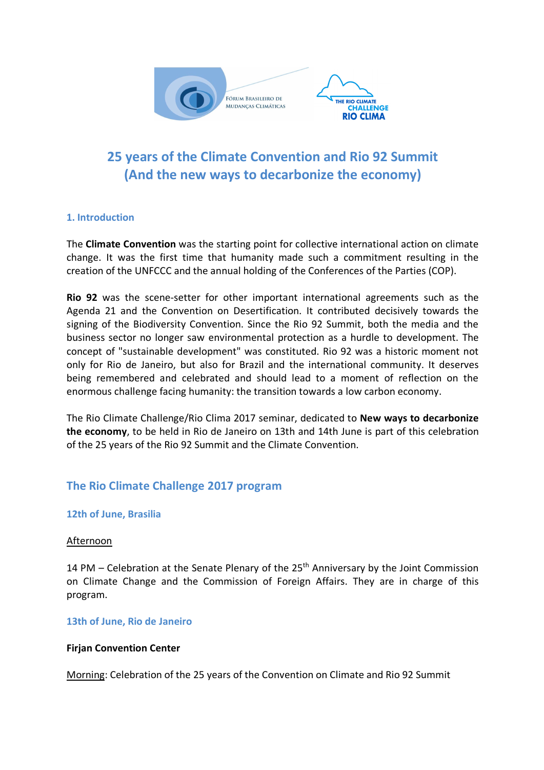

# **25 years of the Climate Convention and Rio 92 Summit (And the new ways to decarbonize the economy)**

# **1. Introduction**

The **Climate Convention** was the starting point for collective international action on climate change. It was the first time that humanity made such a commitment resulting in the creation of the UNFCCC and the annual holding of the Conferences of the Parties (COP).

**Rio 92** was the scene-setter for other important international agreements such as the Agenda 21 and the Convention on Desertification. It contributed decisively towards the signing of the Biodiversity Convention. Since the Rio 92 Summit, both the media and the business sector no longer saw environmental protection as a hurdle to development. The concept of "sustainable development" was constituted. Rio 92 was a historic moment not only for Rio de Janeiro, but also for Brazil and the international community. It deserves being remembered and celebrated and should lead to a moment of reflection on the enormous challenge facing humanity: the transition towards a low carbon economy.

The Rio Climate Challenge/Rio Clima 2017 seminar, dedicated to **New ways to decarbonize the economy**, to be held in Rio de Janeiro on 13th and 14th June is part of this celebration of the 25 years of the Rio 92 Summit and the Climate Convention.

# **The Rio Climate Challenge 2017 program**

#### **12th of June, Brasilia**

#### Afternoon

14 PM – Celebration at the Senate Plenary of the 25<sup>th</sup> Anniversary by the Joint Commission on Climate Change and the Commission of Foreign Affairs. They are in charge of this program.

#### **13th of June, Rio de Janeiro**

#### **Firjan Convention Center**

Morning: Celebration of the 25 years of the Convention on Climate and Rio 92 Summit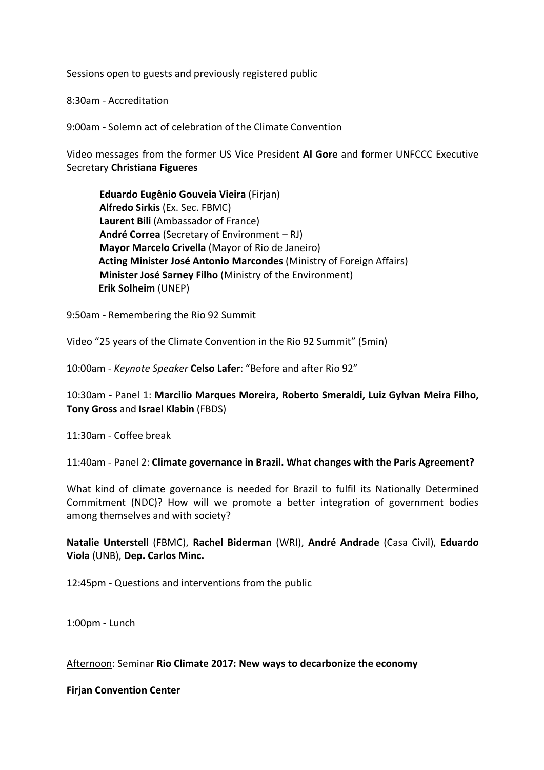Sessions open to guests and previously registered public

8:30am - Accreditation

9:00am - Solemn act of celebration of the Climate Convention

Video messages from the former US Vice President **Al Gore** and former UNFCCC Executive Secretary **Christiana Figueres**

**Eduardo Eugênio Gouveia Vieira** (Firjan) **Alfredo Sirkis** (Ex. Sec. FBMC) **Laurent Bili** (Ambassador of France) **André Correa** (Secretary of Environment – RJ) **Mayor Marcelo Crivella** (Mayor of Rio de Janeiro) **Acting Minister José Antonio Marcondes** (Ministry of Foreign Affairs) **Minister José Sarney Filho** (Ministry of the Environment)  **Erik Solheim** (UNEP)

9:50am - Remembering the Rio 92 Summit

Video "25 years of the Climate Convention in the Rio 92 Summit" (5min)

10:00am - *Keynote Speaker* **Celso Lafer**: "Before and after Rio 92"

10:30am - Panel 1: **Marcilio Marques Moreira, Roberto Smeraldi, Luiz Gylvan Meira Filho, Tony Gross** and **Israel Klabin** (FBDS)

11:30am - Coffee break

11:40am - Panel 2: **Climate governance in Brazil. What changes with the Paris Agreement?**

What kind of climate governance is needed for Brazil to fulfil its Nationally Determined Commitment (NDC)? How will we promote a better integration of government bodies among themselves and with society?

**Natalie Unterstell** (FBMC), **Rachel Biderman** (WRI), **André Andrade** (Casa Civil), **Eduardo Viola** (UNB), **Dep. Carlos Minc.**

12:45pm - Questions and interventions from the public

1:00pm - Lunch

Afternoon: Seminar **Rio Climate 2017: New ways to decarbonize the economy**

**Firjan Convention Center**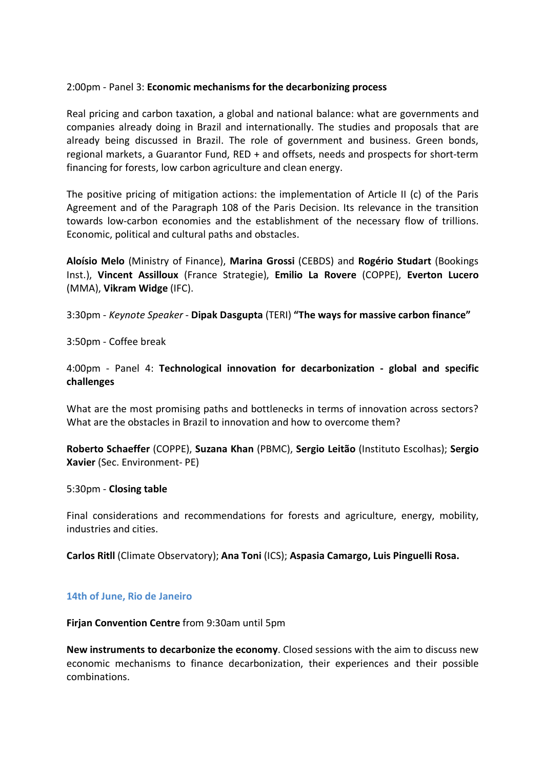#### 2:00pm - Panel 3: **Economic mechanisms for the decarbonizing process**

Real pricing and carbon taxation, a global and national balance: what are governments and companies already doing in Brazil and internationally. The studies and proposals that are already being discussed in Brazil. The role of government and business. Green bonds, regional markets, a Guarantor Fund, RED + and offsets, needs and prospects for short-term financing for forests, low carbon agriculture and clean energy.

The positive pricing of mitigation actions: the implementation of Article II (c) of the Paris Agreement and of the Paragraph 108 of the Paris Decision. Its relevance in the transition towards low-carbon economies and the establishment of the necessary flow of trillions. Economic, political and cultural paths and obstacles.

**Aloísio Melo** (Ministry of Finance), **Marina Grossi** (CEBDS) and **Rogério Studart** (Bookings Inst.), **Vincent Assilloux** (France Strategie), **Emilio La Rovere** (COPPE), **Everton Lucero**  (MMA), **Vikram Widge** (IFC).

3:30pm - *Keynote Speaker* - **Dipak Dasgupta** (TERI) **"The ways for massive carbon finance"**

3:50pm - Coffee break

4:00pm - Panel 4: **Technological innovation for decarbonization - global and specific challenges**

What are the most promising paths and bottlenecks in terms of innovation across sectors? What are the obstacles in Brazil to innovation and how to overcome them?

**Roberto Schaeffer** (COPPE), **Suzana Khan** (PBMC), **Sergio Leitão** (Instituto Escolhas); **Sergio Xavier** (Sec. Environment- PE)

#### 5:30pm - **Closing table**

Final considerations and recommendations for forests and agriculture, energy, mobility, industries and cities.

**Carlos Ritll** (Climate Observatory); **Ana Toni** (ICS); **Aspasia Camargo, Luis Pinguelli Rosa.**

#### **14th of June, Rio de Janeiro**

**Firjan Convention Centre** from 9:30am until 5pm

**New instruments to decarbonize the economy**. Closed sessions with the aim to discuss new economic mechanisms to finance decarbonization, their experiences and their possible combinations.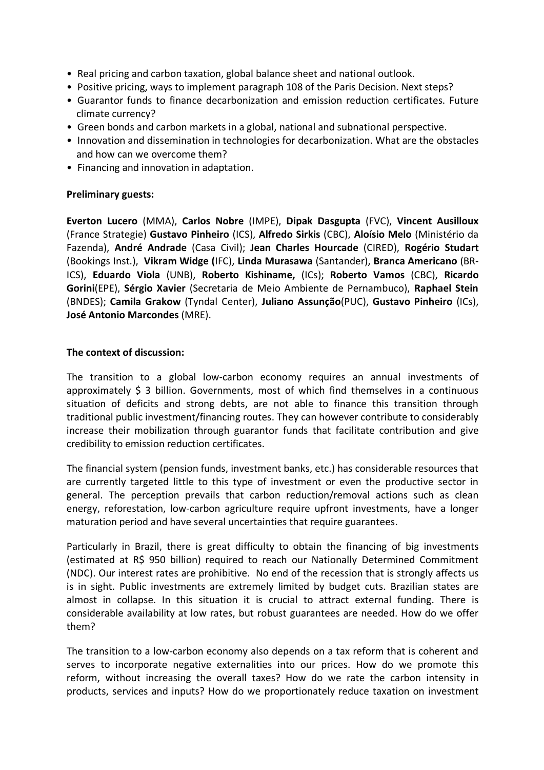- Real pricing and carbon taxation, global balance sheet and national outlook.
- Positive pricing, ways to implement paragraph 108 of the Paris Decision. Next steps?
- Guarantor funds to finance decarbonization and emission reduction certificates. Future climate currency?
- Green bonds and carbon markets in a global, national and subnational perspective.
- Innovation and dissemination in technologies for decarbonization. What are the obstacles and how can we overcome them?
- Financing and innovation in adaptation.

### **Preliminary guests:**

**Everton Lucero** (MMA), **Carlos Nobre** (IMPE), **Dipak Dasgupta** (FVC), **Vincent Ausilloux** (France Strategie) **Gustavo Pinheiro** (ICS), **Alfredo Sirkis** (CBC), **Aloísio Melo** (Ministério da Fazenda), **André Andrade** (Casa Civil); **Jean Charles Hourcade** (CIRED), **Rogério Studart** (Bookings Inst.), **Vikram Widge (**IFC), **Linda Murasawa** (Santander), **Branca Americano** (BR-ICS), **Eduardo Viola** (UNB), **Roberto Kishiname,** (ICs); **Roberto Vamos** (CBC), **Ricardo Gorini**(EPE), **Sérgio Xavier** (Secretaria de Meio Ambiente de Pernambuco), **Raphael Stein** (BNDES); **Camila Grakow** (Tyndal Center), **Juliano Assunção**(PUC), **Gustavo Pinheiro** (ICs), **José Antonio Marcondes** (MRE).

# **The context of discussion:**

The transition to a global low-carbon economy requires an annual investments of approximately  $\frac{1}{2}$  3 billion. Governments, most of which find themselves in a continuous situation of deficits and strong debts, are not able to finance this transition through traditional public investment/financing routes. They can however contribute to considerably increase their mobilization through guarantor funds that facilitate contribution and give credibility to emission reduction certificates.

The financial system (pension funds, investment banks, etc.) has considerable resources that are currently targeted little to this type of investment or even the productive sector in general. The perception prevails that carbon reduction/removal actions such as clean energy, reforestation, low-carbon agriculture require upfront investments, have a longer maturation period and have several uncertainties that require guarantees.

Particularly in Brazil, there is great difficulty to obtain the financing of big investments (estimated at R\$ 950 billion) required to reach our Nationally Determined Commitment (NDC). Our interest rates are prohibitive. No end of the recession that is strongly affects us is in sight. Public investments are extremely limited by budget cuts. Brazilian states are almost in collapse. In this situation it is crucial to attract external funding. There is considerable availability at low rates, but robust guarantees are needed. How do we offer them?

The transition to a low-carbon economy also depends on a tax reform that is coherent and serves to incorporate negative externalities into our prices. How do we promote this reform, without increasing the overall taxes? How do we rate the carbon intensity in products, services and inputs? How do we proportionately reduce taxation on investment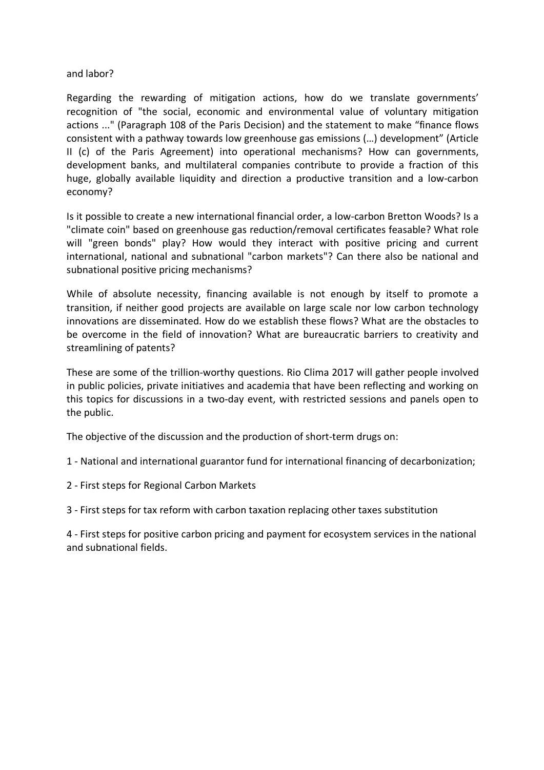### and labor?

Regarding the rewarding of mitigation actions, how do we translate governments' recognition of "the social, economic and environmental value of voluntary mitigation actions ..." (Paragraph 108 of the Paris Decision) and the statement to make "finance flows consistent with a pathway towards low greenhouse gas emissions (…) development" (Article II (c) of the Paris Agreement) into operational mechanisms? How can governments, development banks, and multilateral companies contribute to provide a fraction of this huge, globally available liquidity and direction a productive transition and a low-carbon economy?

Is it possible to create a new international financial order, a low-carbon Bretton Woods? Is a "climate coin" based on greenhouse gas reduction/removal certificates feasable? What role will "green bonds" play? How would they interact with positive pricing and current international, national and subnational "carbon markets"? Can there also be national and subnational positive pricing mechanisms?

While of absolute necessity, financing available is not enough by itself to promote a transition, if neither good projects are available on large scale nor low carbon technology innovations are disseminated. How do we establish these flows? What are the obstacles to be overcome in the field of innovation? What are bureaucratic barriers to creativity and streamlining of patents?

These are some of the trillion-worthy questions. Rio Clima 2017 will gather people involved in public policies, private initiatives and academia that have been reflecting and working on this topics for discussions in a two-day event, with restricted sessions and panels open to the public.

The objective of the discussion and the production of short-term drugs on:

1 - National and international guarantor fund for international financing of decarbonization;

2 - First steps for Regional Carbon Markets

3 - First steps for tax reform with carbon taxation replacing other taxes substitution

4 - First steps for positive carbon pricing and payment for ecosystem services in the national and subnational fields.